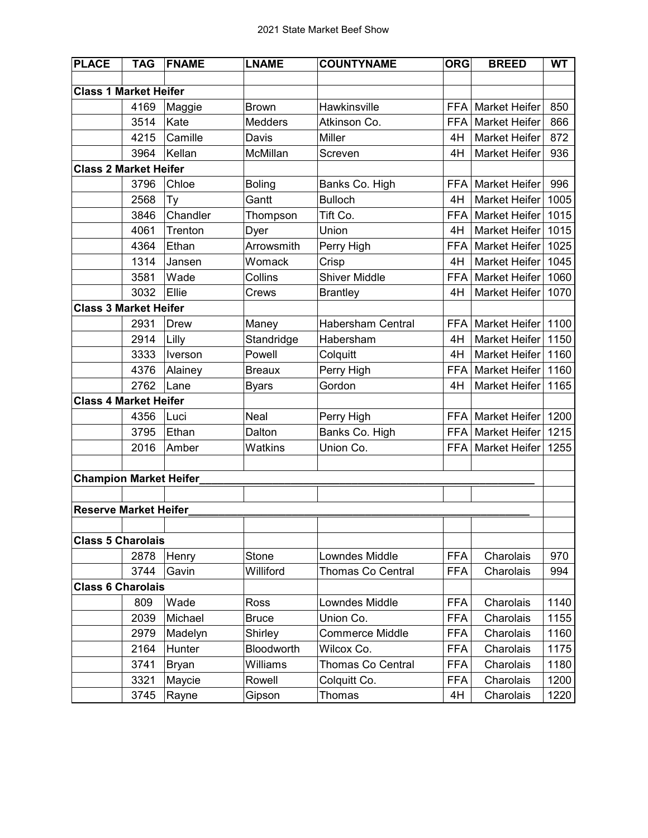| <b>Market Heifer</b><br>850  |
|------------------------------|
| <b>Market Heifer</b><br>866  |
| 872<br><b>Market Heifer</b>  |
| 936<br><b>Market Heifer</b>  |
|                              |
| 996<br><b>Market Heifer</b>  |
| <b>Market Heifer</b><br>1005 |
| 1015<br><b>Market Heifer</b> |
| <b>Market Heifer</b><br>1015 |
| <b>Market Heifer</b><br>1025 |
| <b>Market Heifer</b><br>1045 |
| <b>Market Heifer</b><br>1060 |
| <b>Market Heifer</b><br>1070 |
|                              |
| 1100<br><b>Market Heifer</b> |
| <b>Market Heifer</b><br>1150 |
| Market Heifer<br>1160        |
| <b>Market Heifer</b><br>1160 |
| <b>Market Heifer</b><br>1165 |
|                              |
| <b>Market Heifer</b><br>1200 |
| 1215<br><b>Market Heifer</b> |
| <b>Market Heifer</b><br>1255 |
|                              |
|                              |
|                              |
|                              |
|                              |
|                              |
| Charolais<br>970             |
| 994                          |
|                              |
| Charolais<br>1140            |
| Charolais<br>1155            |
| Charolais<br>1160            |
| Charolais<br>1175            |
| Charolais<br>1180            |
| Charolais<br>1200            |
| Charolais<br>1220            |
| Charolais                    |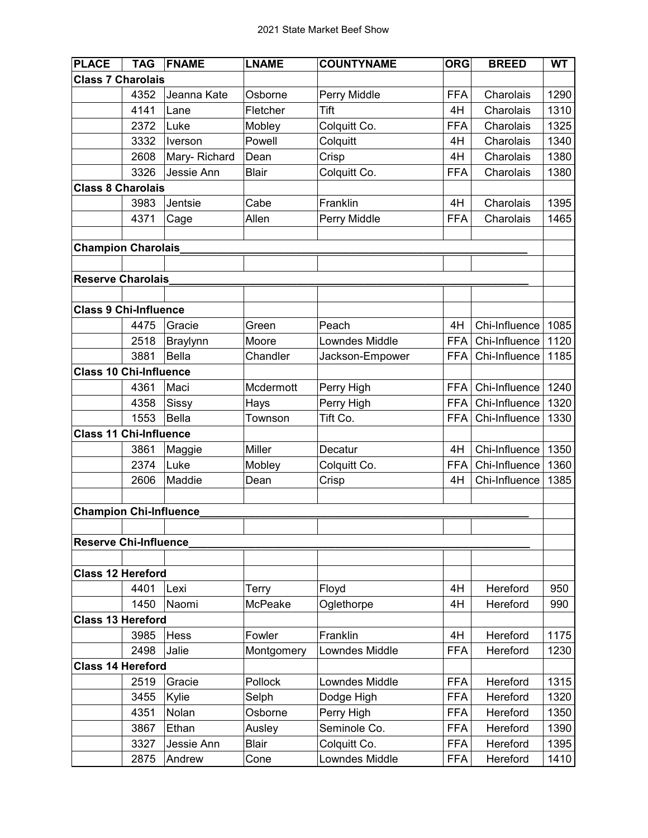| <b>PLACE</b>                  | <b>TAG</b> | <b>FNAME</b>    | <b>LNAME</b> | <b>COUNTYNAME</b>     | <b>ORG</b> | <b>BREED</b>  | <b>WT</b> |
|-------------------------------|------------|-----------------|--------------|-----------------------|------------|---------------|-----------|
| <b>Class 7 Charolais</b>      |            |                 |              |                       |            |               |           |
|                               | 4352       | Jeanna Kate     | Osborne      | Perry Middle          | <b>FFA</b> | Charolais     | 1290      |
|                               | 4141       | Lane            | Fletcher     | <b>Tift</b>           | 4H         | Charolais     | 1310      |
|                               | 2372       | Luke            | Mobley       | Colquitt Co.          | <b>FFA</b> | Charolais     | 1325      |
|                               | 3332       | Iverson         | Powell       | Colquitt              | 4H         | Charolais     | 1340      |
|                               | 2608       | Mary-Richard    | Dean         | Crisp                 | 4H         | Charolais     | 1380      |
|                               | 3326       | Jessie Ann      | <b>Blair</b> | Colquitt Co.          | <b>FFA</b> | Charolais     | 1380      |
| <b>Class 8 Charolais</b>      |            |                 |              |                       |            |               |           |
|                               | 3983       | Jentsie         | Cabe         | Franklin              | 4H         | Charolais     | 1395      |
|                               | 4371       | Cage            | Allen        | Perry Middle          | <b>FFA</b> | Charolais     | 1465      |
|                               |            |                 |              |                       |            |               |           |
| <b>Champion Charolais</b>     |            |                 |              |                       |            |               |           |
|                               |            |                 |              |                       |            |               |           |
| <b>Reserve Charolais</b>      |            |                 |              |                       |            |               |           |
|                               |            |                 |              |                       |            |               |           |
| <b>Class 9 Chi-Influence</b>  |            |                 |              |                       |            |               |           |
|                               | 4475       | Gracie          | Green        | Peach                 | 4H         | Chi-Influence | 1085      |
|                               | 2518       | <b>Braylynn</b> | Moore        | <b>Lowndes Middle</b> | <b>FFA</b> | Chi-Influence | 1120      |
|                               | 3881       | <b>Bella</b>    | Chandler     | Jackson-Empower       | <b>FFA</b> | Chi-Influence | 1185      |
| <b>Class 10 Chi-Influence</b> |            |                 |              |                       |            |               |           |
|                               | 4361       | Maci            | Mcdermott    | Perry High            | <b>FFA</b> | Chi-Influence | 1240      |
|                               | 4358       | Sissy           | Hays         | Perry High            | <b>FFA</b> | Chi-Influence | 1320      |
|                               | 1553       | <b>Bella</b>    | Townson      | Tift Co.              | <b>FFA</b> | Chi-Influence | 1330      |
| <b>Class 11 Chi-Influence</b> |            |                 |              |                       |            |               |           |
|                               | 3861       | Maggie          | Miller       | Decatur               | 4H         | Chi-Influence | 1350      |
|                               | 2374       | Luke            | Mobley       | Colquitt Co.          | <b>FFA</b> | Chi-Influence | 1360      |
|                               | 2606       | Maddie          | Dean         | Crisp                 | 4H         | Chi-Influence | 1385      |
|                               |            |                 |              |                       |            |               |           |
| <b>Champion Chi-Influence</b> |            |                 |              |                       |            |               |           |
|                               |            |                 |              |                       |            |               |           |
| <b>Reserve Chi-Influence</b>  |            |                 |              |                       |            |               |           |
|                               |            |                 |              |                       |            |               |           |
| <b>Class 12 Hereford</b>      |            |                 |              |                       |            |               |           |
|                               | 4401       | Lexi            | Terry        | Floyd                 | 4H         | Hereford      | 950       |
|                               | 1450       | Naomi           | McPeake      | Oglethorpe            | 4H         | Hereford      | 990       |
| <b>Class 13 Hereford</b>      |            |                 |              |                       |            |               |           |
|                               | 3985       | Hess            | Fowler       | Franklin              | 4H         | Hereford      | 1175      |
|                               | 2498       | Jalie           | Montgomery   | <b>Lowndes Middle</b> | <b>FFA</b> | Hereford      | 1230      |
| <b>Class 14 Hereford</b>      |            |                 |              |                       |            |               |           |
|                               | 2519       | Gracie          | Pollock      | Lowndes Middle        | <b>FFA</b> | Hereford      | 1315      |
|                               | 3455       | Kylie           | Selph        | Dodge High            | <b>FFA</b> | Hereford      | 1320      |
|                               | 4351       | Nolan           | Osborne      | Perry High            | <b>FFA</b> | Hereford      | 1350      |
|                               | 3867       | Ethan           | Ausley       | Seminole Co.          | <b>FFA</b> | Hereford      | 1390      |
|                               | 3327       | Jessie Ann      | <b>Blair</b> | Colquitt Co.          | <b>FFA</b> | Hereford      | 1395      |
|                               | 2875       | Andrew          | Cone         | Lowndes Middle        | <b>FFA</b> | Hereford      | 1410      |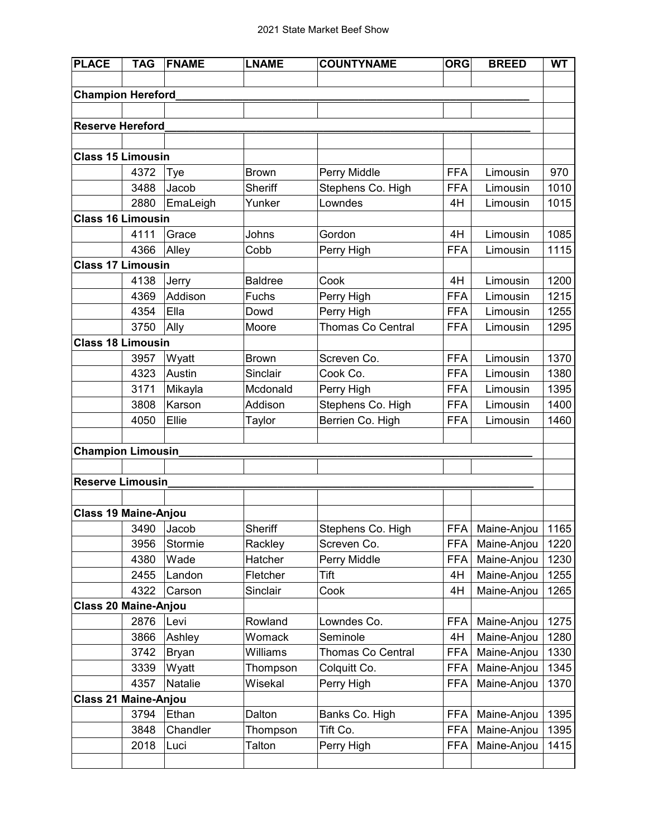| <b>PLACE</b>                | <b>TAG</b> | <b>FNAME</b> | <b>LNAME</b>   | <b>COUNTYNAME</b> | <b>ORG</b> | <b>BREED</b> | <b>WT</b> |
|-----------------------------|------------|--------------|----------------|-------------------|------------|--------------|-----------|
|                             |            |              |                |                   |            |              |           |
| <b>Champion Hereford</b>    |            |              |                |                   |            |              |           |
|                             |            |              |                |                   |            |              |           |
| <b>Reserve Hereford</b>     |            |              |                |                   |            |              |           |
|                             |            |              |                |                   |            |              |           |
| <b>Class 15 Limousin</b>    |            |              |                |                   |            |              |           |
|                             | 4372       | Tye          | <b>Brown</b>   | Perry Middle      | <b>FFA</b> | Limousin     | 970       |
|                             | 3488       | Jacob        | <b>Sheriff</b> | Stephens Co. High | <b>FFA</b> | Limousin     | 1010      |
|                             | 2880       | EmaLeigh     | Yunker         | Lowndes           | 4H         | Limousin     | 1015      |
| <b>Class 16 Limousin</b>    |            |              |                |                   |            |              |           |
|                             | 4111       | Grace        | Johns          | Gordon            | 4H         | Limousin     | 1085      |
|                             | 4366       | Alley        | Cobb           | Perry High        | <b>FFA</b> | Limousin     | 1115      |
| <b>Class 17 Limousin</b>    |            |              |                |                   |            |              |           |
|                             | 4138       | Jerry        | <b>Baldree</b> | Cook              | 4H         | Limousin     | 1200      |
|                             | 4369       | Addison      | Fuchs          | Perry High        | <b>FFA</b> | Limousin     | 1215      |
|                             | 4354       | Ella         | Dowd           | Perry High        | <b>FFA</b> | Limousin     | 1255      |
|                             | 3750       | Ally         | Moore          | Thomas Co Central | <b>FFA</b> | Limousin     | 1295      |
| <b>Class 18 Limousin</b>    |            |              |                |                   |            |              |           |
|                             | 3957       | Wyatt        | <b>Brown</b>   | Screven Co.       | <b>FFA</b> | Limousin     | 1370      |
|                             | 4323       | Austin       | Sinclair       | Cook Co.          | <b>FFA</b> | Limousin     | 1380      |
|                             | 3171       | Mikayla      | Mcdonald       | Perry High        | <b>FFA</b> | Limousin     | 1395      |
|                             | 3808       | Karson       | Addison        | Stephens Co. High | <b>FFA</b> | Limousin     | 1400      |
|                             | 4050       | Ellie        | Taylor         | Berrien Co. High  | <b>FFA</b> | Limousin     | 1460      |
|                             |            |              |                |                   |            |              |           |
| <b>Champion Limousin</b>    |            |              |                |                   |            |              |           |
|                             |            |              |                |                   |            |              |           |
| Reserve Limousin            |            |              |                |                   |            |              |           |
|                             |            |              |                |                   |            |              |           |
| <b>Class 19 Maine-Anjou</b> |            |              |                |                   |            |              |           |
|                             | 3490       | Jacob        | Sheriff        | Stephens Co. High | <b>FFA</b> | Maine-Anjou  | 1165      |
|                             | 3956       | Stormie      | Rackley        | Screven Co.       | <b>FFA</b> | Maine-Anjou  | 1220      |
|                             | 4380       | Wade         | Hatcher        | Perry Middle      | <b>FFA</b> | Maine-Anjou  | 1230      |
|                             | 2455       | Landon       | Fletcher       | Tift              | 4H         | Maine-Anjou  | 1255      |
|                             | 4322       | Carson       | Sinclair       | Cook              | 4H         | Maine-Anjou  | 1265      |
| Class 20 Maine-Anjou        |            |              |                |                   |            |              |           |
|                             | 2876       | Levi         | Rowland        | Lowndes Co.       | <b>FFA</b> | Maine-Anjou  | 1275      |
|                             | 3866       | Ashley       | Womack         | Seminole          | 4H         | Maine-Anjou  | 1280      |
|                             | 3742       | <b>Bryan</b> | Williams       | Thomas Co Central | <b>FFA</b> | Maine-Anjou  | 1330      |
|                             | 3339       | Wyatt        | Thompson       | Colquitt Co.      | <b>FFA</b> | Maine-Anjou  | 1345      |
|                             | 4357       | Natalie      | Wisekal        | Perry High        | <b>FFA</b> | Maine-Anjou  | 1370      |
| <b>Class 21 Maine-Anjou</b> |            |              |                |                   |            |              |           |
|                             | 3794       | Ethan        | Dalton         | Banks Co. High    | <b>FFA</b> | Maine-Anjou  | 1395      |
|                             | 3848       | Chandler     | Thompson       | Tift Co.          | <b>FFA</b> | Maine-Anjou  | 1395      |
|                             | 2018       | Luci         | Talton         | Perry High        | <b>FFA</b> | Maine-Anjou  | 1415      |
|                             |            |              |                |                   |            |              |           |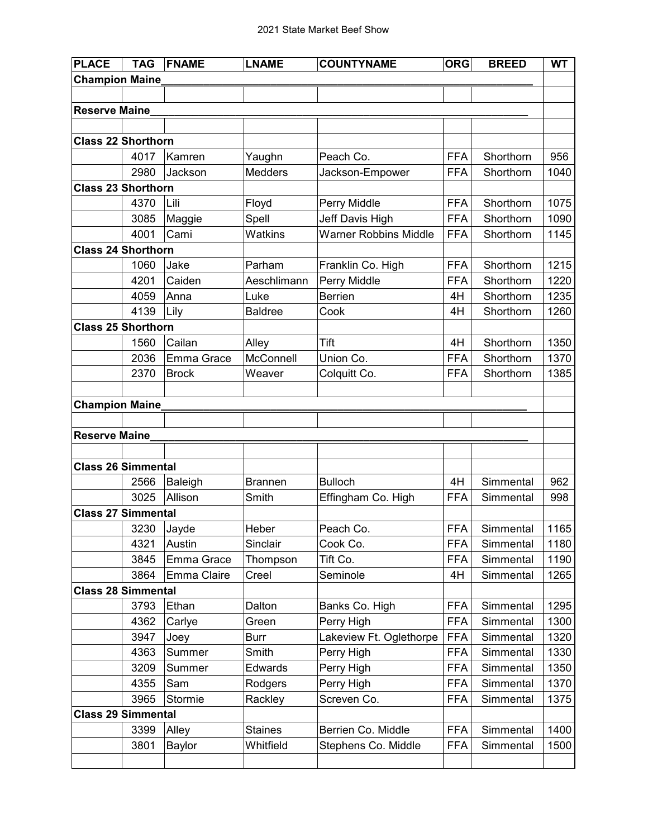| <b>PLACE</b>              | <b>TAG</b> | <b>FNAME</b> | <b>LNAME</b>   | <b>COUNTYNAME</b>            | <b>ORG</b> | <b>BREED</b> | <b>WT</b> |
|---------------------------|------------|--------------|----------------|------------------------------|------------|--------------|-----------|
| <b>Champion Maine</b>     |            |              |                |                              |            |              |           |
|                           |            |              |                |                              |            |              |           |
| <b>Reserve Maine</b>      |            |              |                |                              |            |              |           |
|                           |            |              |                |                              |            |              |           |
| <b>Class 22 Shorthorn</b> |            |              |                |                              |            |              |           |
|                           | 4017       | Kamren       | Yaughn         | Peach Co.                    | <b>FFA</b> | Shorthorn    | 956       |
|                           | 2980       | Jackson      | <b>Medders</b> | Jackson-Empower              | <b>FFA</b> | Shorthorn    | 1040      |
| <b>Class 23 Shorthorn</b> |            |              |                |                              |            |              |           |
|                           | 4370       | Lili         | Floyd          | Perry Middle                 | <b>FFA</b> | Shorthorn    | 1075      |
|                           | 3085       | Maggie       | Spell          | Jeff Davis High              | <b>FFA</b> | Shorthorn    | 1090      |
|                           | 4001       | Cami         | Watkins        | <b>Warner Robbins Middle</b> | <b>FFA</b> | Shorthorn    | 1145      |
| <b>Class 24 Shorthorn</b> |            |              |                |                              |            |              |           |
|                           | 1060       | Jake         | Parham         | Franklin Co. High            | <b>FFA</b> | Shorthorn    | 1215      |
|                           | 4201       | Caiden       | Aeschlimann    | Perry Middle                 | <b>FFA</b> | Shorthorn    | 1220      |
|                           | 4059       | Anna         | Luke           | Berrien                      | 4H         | Shorthorn    | 1235      |
|                           | 4139       | Lily         | <b>Baldree</b> | Cook                         | 4H         | Shorthorn    | 1260      |
| <b>Class 25 Shorthorn</b> |            |              |                |                              |            |              |           |
|                           | 1560       | Cailan       | Alley          | Tift                         | 4H         | Shorthorn    | 1350      |
|                           | 2036       | Emma Grace   | McConnell      | Union Co.                    | <b>FFA</b> | Shorthorn    | 1370      |
|                           | 2370       | <b>Brock</b> | Weaver         | Colquitt Co.                 | <b>FFA</b> | Shorthorn    | 1385      |
|                           |            |              |                |                              |            |              |           |
| <b>Champion Maine</b>     |            |              |                |                              |            |              |           |
|                           |            |              |                |                              |            |              |           |
| <b>Reserve Maine_</b>     |            |              |                |                              |            |              |           |
|                           |            |              |                |                              |            |              |           |
| <b>Class 26 Simmental</b> |            |              |                |                              |            |              |           |
|                           | 2566       | Baleigh      | <b>Brannen</b> | <b>Bulloch</b>               | 4H         | Simmental    | 962       |
|                           | 3025       | Allison      | Smith          | Effingham Co. High           | <b>FFA</b> | Simmental    | 998       |
| <b>Class 27 Simmental</b> |            |              |                |                              |            |              |           |
|                           | 3230       | Jayde        | Heber          | Peach Co.                    | <b>FFA</b> | Simmental    | 1165      |
|                           | 4321       | Austin       | Sinclair       | Cook Co.                     | <b>FFA</b> | Simmental    | 1180      |
|                           | 3845       | Emma Grace   | Thompson       | Tift Co.                     | <b>FFA</b> | Simmental    | 1190      |
|                           | 3864       | Emma Claire  | Creel          | Seminole                     | 4H         | Simmental    | 1265      |
| <b>Class 28 Simmental</b> |            |              |                |                              |            |              |           |
|                           | 3793       | Ethan        | Dalton         | Banks Co. High               | <b>FFA</b> | Simmental    | 1295      |
|                           | 4362       | Carlye       | Green          | Perry High                   | <b>FFA</b> | Simmental    | 1300      |
|                           | 3947       | Joey         | Burr           | Lakeview Ft. Oglethorpe      | <b>FFA</b> | Simmental    | 1320      |
|                           | 4363       | Summer       | Smith          | Perry High                   | <b>FFA</b> | Simmental    | 1330      |
|                           | 3209       | Summer       | Edwards        | Perry High                   | <b>FFA</b> | Simmental    | 1350      |
|                           | 4355       | Sam          | Rodgers        | Perry High                   | <b>FFA</b> | Simmental    | 1370      |
|                           | 3965       | Stormie      | Rackley        | Screven Co.                  | <b>FFA</b> | Simmental    | 1375      |
| <b>Class 29 Simmental</b> |            |              |                |                              |            |              |           |
|                           | 3399       | Alley        | <b>Staines</b> | Berrien Co. Middle           | <b>FFA</b> | Simmental    | 1400      |
|                           | 3801       | Baylor       | Whitfield      | Stephens Co. Middle          | <b>FFA</b> | Simmental    | 1500      |
|                           |            |              |                |                              |            |              |           |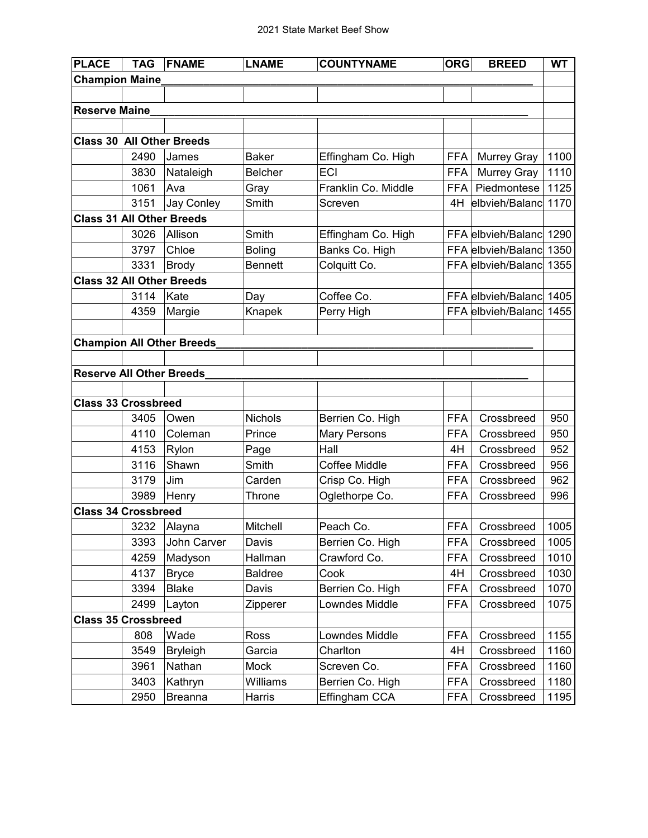| <b>PLACE</b>                     | <b>TAG</b> | <b>FNAME</b>                     | <b>LNAME</b>   | <b>COUNTYNAME</b>   | <b>ORG</b> | <b>BREED</b>       | <b>WT</b> |
|----------------------------------|------------|----------------------------------|----------------|---------------------|------------|--------------------|-----------|
| <b>Champion Maine</b>            |            |                                  |                |                     |            |                    |           |
|                                  |            |                                  |                |                     |            |                    |           |
| <b>Reserve Maine</b>             |            |                                  |                |                     |            |                    |           |
|                                  |            |                                  |                |                     |            |                    |           |
| <b>Class 30 All Other Breeds</b> |            |                                  |                |                     |            |                    |           |
|                                  | 2490       | James                            | <b>Baker</b>   | Effingham Co. High  | <b>FFA</b> | <b>Murrey Gray</b> | 1100      |
|                                  | 3830       | Nataleigh                        | <b>Belcher</b> | <b>ECI</b>          | <b>FFA</b> | <b>Murrey Gray</b> | 1110      |
|                                  | 1061       | Ava                              | Gray           | Franklin Co. Middle | <b>FFA</b> | Piedmontese        | 1125      |
|                                  | 3151       | <b>Jay Conley</b>                | Smith          | Screven             | 4H         | elbvieh/Balanc     | 1170      |
| <b>Class 31 All Other Breeds</b> |            |                                  |                |                     |            |                    |           |
|                                  | 3026       | Allison                          | Smith          | Effingham Co. High  |            | FFA elbvieh/Balanc | 1290      |
|                                  | 3797       | Chloe                            | <b>Boling</b>  | Banks Co. High      |            | FFA elbvieh/Balanc | 1350      |
|                                  | 3331       | <b>Brody</b>                     | <b>Bennett</b> | Colquitt Co.        |            | FFA elbvieh/Balanc | 1355      |
| <b>Class 32 All Other Breeds</b> |            |                                  |                |                     |            |                    |           |
|                                  | 3114       | Kate                             | Day            | Coffee Co.          |            | FFA elbvieh/Balanc | 1405      |
|                                  | 4359       | Margie                           | Knapek         | Perry High          |            | FFA elbvieh/Balanc | 1455      |
|                                  |            |                                  |                |                     |            |                    |           |
|                                  |            | <b>Champion All Other Breeds</b> |                |                     |            |                    |           |
|                                  |            |                                  |                |                     |            |                    |           |
| <b>Reserve All Other Breeds</b>  |            |                                  |                |                     |            |                    |           |
|                                  |            |                                  |                |                     |            |                    |           |
| <b>Class 33 Crossbreed</b>       |            |                                  |                |                     |            |                    |           |
|                                  | 3405       | Owen                             | <b>Nichols</b> | Berrien Co. High    | <b>FFA</b> | Crossbreed         | 950       |
|                                  | 4110       | Coleman                          | Prince         | <b>Mary Persons</b> | <b>FFA</b> | Crossbreed         | 950       |
|                                  | 4153       | Rylon                            | Page           | Hall                | 4H         | Crossbreed         | 952       |
|                                  | 3116       | Shawn                            | Smith          | Coffee Middle       | <b>FFA</b> | Crossbreed         | 956       |
|                                  | 3179       | Jim                              | Carden         | Crisp Co. High      | <b>FFA</b> | Crossbreed         | 962       |
|                                  | 3989       | Henry                            | Throne         | Oglethorpe Co.      | <b>FFA</b> | Crossbreed         | 996       |
| <b>Class 34 Crossbreed</b>       |            |                                  |                |                     |            |                    |           |
|                                  | 3232       | Alayna                           | Mitchell       | Peach Co.           | <b>FFA</b> | Crossbreed         | 1005      |
|                                  | 3393       | John Carver                      | Davis          | Berrien Co. High    | <b>FFA</b> | Crossbreed         | 1005      |
|                                  | 4259       | Madyson                          | Hallman        | Crawford Co.        | <b>FFA</b> | Crossbreed         | 1010      |
|                                  | 4137       | <b>Bryce</b>                     | <b>Baldree</b> | Cook                | 4H         | Crossbreed         | 1030      |
|                                  | 3394       | <b>Blake</b>                     | Davis          | Berrien Co. High    | <b>FFA</b> | Crossbreed         | 1070      |
|                                  | 2499       | Layton                           | Zipperer       | Lowndes Middle      | <b>FFA</b> | Crossbreed         | 1075      |
| <b>Class 35 Crossbreed</b>       |            |                                  |                |                     |            |                    |           |
|                                  | 808        | Wade                             | Ross           | Lowndes Middle      | <b>FFA</b> | Crossbreed         | 1155      |
|                                  | 3549       | <b>Bryleigh</b>                  | Garcia         | Charlton            | 4H         | Crossbreed         | 1160      |
|                                  | 3961       | Nathan                           | Mock           | Screven Co.         | <b>FFA</b> | Crossbreed         | 1160      |
|                                  | 3403       | Kathryn                          | Williams       | Berrien Co. High    | <b>FFA</b> | Crossbreed         | 1180      |
|                                  | 2950       | <b>Breanna</b>                   | Harris         | Effingham CCA       | <b>FFA</b> | Crossbreed         | 1195      |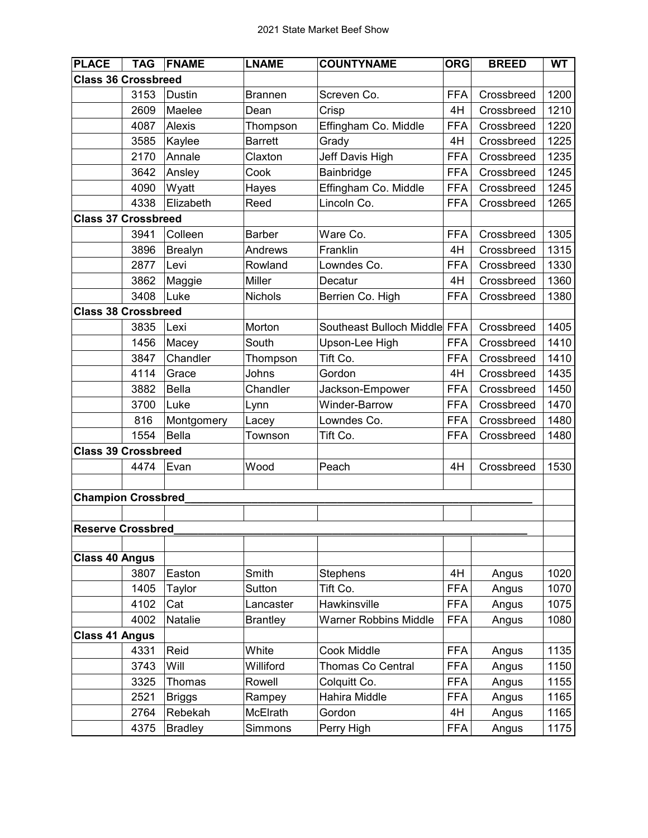| <b>PLACE</b>               | <b>TAG</b> | <b>FNAME</b>   | <b>LNAME</b>    | <b>COUNTYNAME</b>            | <b>ORG</b> | <b>BREED</b> | <b>WT</b> |
|----------------------------|------------|----------------|-----------------|------------------------------|------------|--------------|-----------|
| <b>Class 36 Crossbreed</b> |            |                |                 |                              |            |              |           |
|                            | 3153       | <b>Dustin</b>  | <b>Brannen</b>  | Screven Co.                  | <b>FFA</b> | Crossbreed   | 1200      |
|                            | 2609       | Maelee         | Dean            | Crisp                        | 4H         | Crossbreed   | 1210      |
|                            | 4087       | Alexis         | Thompson        | Effingham Co. Middle         | <b>FFA</b> | Crossbreed   | 1220      |
|                            | 3585       | Kaylee         | <b>Barrett</b>  | Grady                        | 4H         | Crossbreed   | 1225      |
|                            | 2170       | Annale         | Claxton         | Jeff Davis High              | <b>FFA</b> | Crossbreed   | 1235      |
|                            | 3642       | Ansley         | Cook            | Bainbridge                   | <b>FFA</b> | Crossbreed   | 1245      |
|                            | 4090       | Wyatt          | Hayes           | Effingham Co. Middle         | <b>FFA</b> | Crossbreed   | 1245      |
|                            | 4338       | Elizabeth      | Reed            | Lincoln Co.                  | <b>FFA</b> | Crossbreed   | 1265      |
| <b>Class 37 Crossbreed</b> |            |                |                 |                              |            |              |           |
|                            | 3941       | Colleen        | <b>Barber</b>   | Ware Co.                     | <b>FFA</b> | Crossbreed   | 1305      |
|                            | 3896       | <b>Brealyn</b> | Andrews         | Franklin                     | 4H         | Crossbreed   | 1315      |
|                            | 2877       | Levi           | Rowland         | Lowndes Co.                  | <b>FFA</b> | Crossbreed   | 1330      |
|                            | 3862       | Maggie         | Miller          | Decatur                      | 4H         | Crossbreed   | 1360      |
|                            | 3408       | Luke           | Nichols         | Berrien Co. High             | <b>FFA</b> | Crossbreed   | 1380      |
| <b>Class 38 Crossbreed</b> |            |                |                 |                              |            |              |           |
|                            | 3835       | Lexi           | Morton          | Southeast Bulloch Middle FFA |            | Crossbreed   | 1405      |
|                            | 1456       | Macey          | South           | Upson-Lee High               | <b>FFA</b> | Crossbreed   | 1410      |
|                            | 3847       | Chandler       | Thompson        | Tift Co.                     | <b>FFA</b> | Crossbreed   | 1410      |
|                            | 4114       | Grace          | Johns           | Gordon                       | 4H         | Crossbreed   | 1435      |
|                            | 3882       | <b>Bella</b>   | Chandler        | Jackson-Empower              | <b>FFA</b> | Crossbreed   | 1450      |
|                            | 3700       | Luke           | Lynn            | <b>Winder-Barrow</b>         | <b>FFA</b> | Crossbreed   | 1470      |
|                            | 816        | Montgomery     | Lacey           | Lowndes Co.                  | <b>FFA</b> | Crossbreed   | 1480      |
|                            | 1554       | <b>Bella</b>   | Townson         | Tift Co.                     | <b>FFA</b> | Crossbreed   | 1480      |
| <b>Class 39 Crossbreed</b> |            |                |                 |                              |            |              |           |
|                            | 4474       | Evan           | Wood            | Peach                        | 4H         | Crossbreed   | 1530      |
|                            |            |                |                 |                              |            |              |           |
| <b>Champion Crossbred</b>  |            |                |                 |                              |            |              |           |
|                            |            |                |                 |                              |            |              |           |
| <b>Reserve Crossbred</b>   |            |                |                 |                              |            |              |           |
|                            |            |                |                 |                              |            |              |           |
| <b>Class 40 Angus</b>      |            |                |                 |                              |            |              |           |
|                            | 3807       | Easton         | Smith           | <b>Stephens</b>              | 4H         | Angus        | 1020      |
|                            | 1405       | Taylor         | Sutton          | Tift Co.                     | <b>FFA</b> | Angus        | 1070      |
|                            | 4102       | Cat            | Lancaster       | Hawkinsville                 | <b>FFA</b> | Angus        | 1075      |
|                            | 4002       | Natalie        | <b>Brantley</b> | <b>Warner Robbins Middle</b> | <b>FFA</b> | Angus        | 1080      |
| <b>Class 41 Angus</b>      |            |                |                 |                              |            |              |           |
|                            | 4331       | Reid           | White           | Cook Middle                  | <b>FFA</b> | Angus        | 1135      |
|                            | 3743       | Will           | Williford       | Thomas Co Central            | <b>FFA</b> | Angus        | 1150      |
|                            | 3325       | Thomas         | Rowell          | Colquitt Co.                 | <b>FFA</b> | Angus        | 1155      |
|                            | 2521       | <b>Briggs</b>  | Rampey          | Hahira Middle                | <b>FFA</b> | Angus        | 1165      |
|                            | 2764       | Rebekah        | McElrath        | Gordon                       | 4H         | Angus        | 1165      |
|                            | 4375       | <b>Bradley</b> | Simmons         | Perry High                   | <b>FFA</b> | Angus        | 1175      |